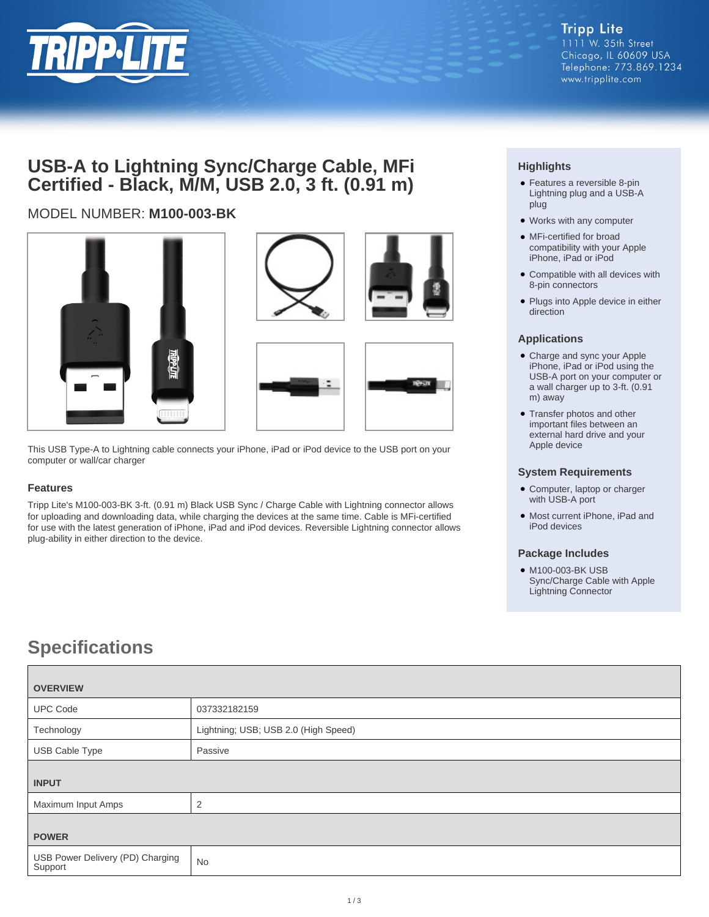

# **USB-A to Lightning Sync/Charge Cable, MFi Certified - Black, M/M, USB 2.0, 3 ft. (0.91 m)**

## MODEL NUMBER: **M100-003-BK**





This USB Type-A to Lightning cable connects your iPhone, iPad or iPod device to the USB port on your computer or wall/car charger

#### **Features**

Tripp Lite's M100-003-BK 3-ft. (0.91 m) Black USB Sync / Charge Cable with Lightning connector allows for uploading and downloading data, while charging the devices at the same time. Cable is MFi-certified for use with the latest generation of iPhone, iPad and iPod devices. Reversible Lightning connector allows plug-ability in either direction to the device.

### **Highlights**

- Features a reversible 8-pin Lightning plug and a USB-A plug
- Works with any computer
- MFi-certified for broad compatibility with your Apple iPhone, iPad or iPod
- Compatible with all devices with 8-pin connectors
- Plugs into Apple device in either direction

#### **Applications**

- Charge and sync your Apple iPhone, iPad or iPod using the USB-A port on your computer or a wall charger up to 3-ft. (0.91 m) away
- Transfer photos and other important files between an external hard drive and your Apple device

#### **System Requirements**

- Computer, laptop or charger with USB-A port
- Most current iPhone, iPad and iPod devices

#### **Package Includes**

● M100-003-BK USB Sync/Charge Cable with Apple Lightning Connector

# **Specifications**

| <b>OVERVIEW</b>                             |                                      |  |
|---------------------------------------------|--------------------------------------|--|
| <b>UPC Code</b>                             | 037332182159                         |  |
| Technology                                  | Lightning; USB; USB 2.0 (High Speed) |  |
| USB Cable Type                              | Passive                              |  |
| <b>INPUT</b>                                |                                      |  |
| Maximum Input Amps                          | $\overline{2}$                       |  |
| <b>POWER</b>                                |                                      |  |
| USB Power Delivery (PD) Charging<br>Support | No                                   |  |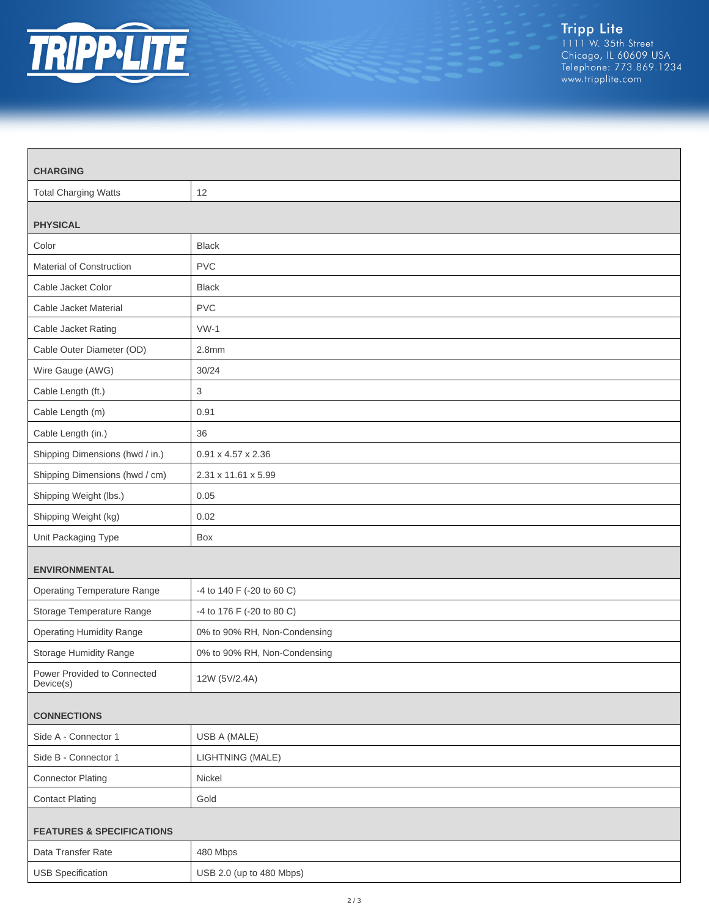

| <b>CHARGING</b>                          |                              |  |
|------------------------------------------|------------------------------|--|
| <b>Total Charging Watts</b>              | 12                           |  |
|                                          |                              |  |
| <b>PHYSICAL</b>                          |                              |  |
| Color                                    | <b>Black</b>                 |  |
| Material of Construction                 | <b>PVC</b>                   |  |
| Cable Jacket Color                       | <b>Black</b>                 |  |
| Cable Jacket Material                    | <b>PVC</b>                   |  |
| Cable Jacket Rating                      | $VW-1$                       |  |
| Cable Outer Diameter (OD)                | 2.8 <sub>mm</sub>            |  |
| Wire Gauge (AWG)                         | 30/24                        |  |
| Cable Length (ft.)                       | 3                            |  |
| Cable Length (m)                         | 0.91                         |  |
| Cable Length (in.)                       | 36                           |  |
| Shipping Dimensions (hwd / in.)          | 0.91 x 4.57 x 2.36           |  |
| Shipping Dimensions (hwd / cm)           | 2.31 x 11.61 x 5.99          |  |
| Shipping Weight (lbs.)                   | 0.05                         |  |
| Shipping Weight (kg)                     | 0.02                         |  |
| Unit Packaging Type                      | Box                          |  |
| <b>ENVIRONMENTAL</b>                     |                              |  |
| <b>Operating Temperature Range</b>       | -4 to 140 F (-20 to 60 C)    |  |
| Storage Temperature Range                | -4 to 176 F (-20 to 80 C)    |  |
| <b>Operating Humidity Range</b>          | 0% to 90% RH, Non-Condensing |  |
| Storage Humidity Range                   | 0% to 90% RH, Non-Condensing |  |
| Power Provided to Connected<br>Device(s) | 12W (5V/2.4A)                |  |
| <b>CONNECTIONS</b>                       |                              |  |
| Side A - Connector 1                     | USB A (MALE)                 |  |
| Side B - Connector 1                     | LIGHTNING (MALE)             |  |
| <b>Connector Plating</b>                 | Nickel                       |  |
| <b>Contact Plating</b>                   | Gold                         |  |
| <b>FEATURES &amp; SPECIFICATIONS</b>     |                              |  |
| Data Transfer Rate                       | 480 Mbps                     |  |
| <b>USB Specification</b>                 | USB 2.0 (up to 480 Mbps)     |  |